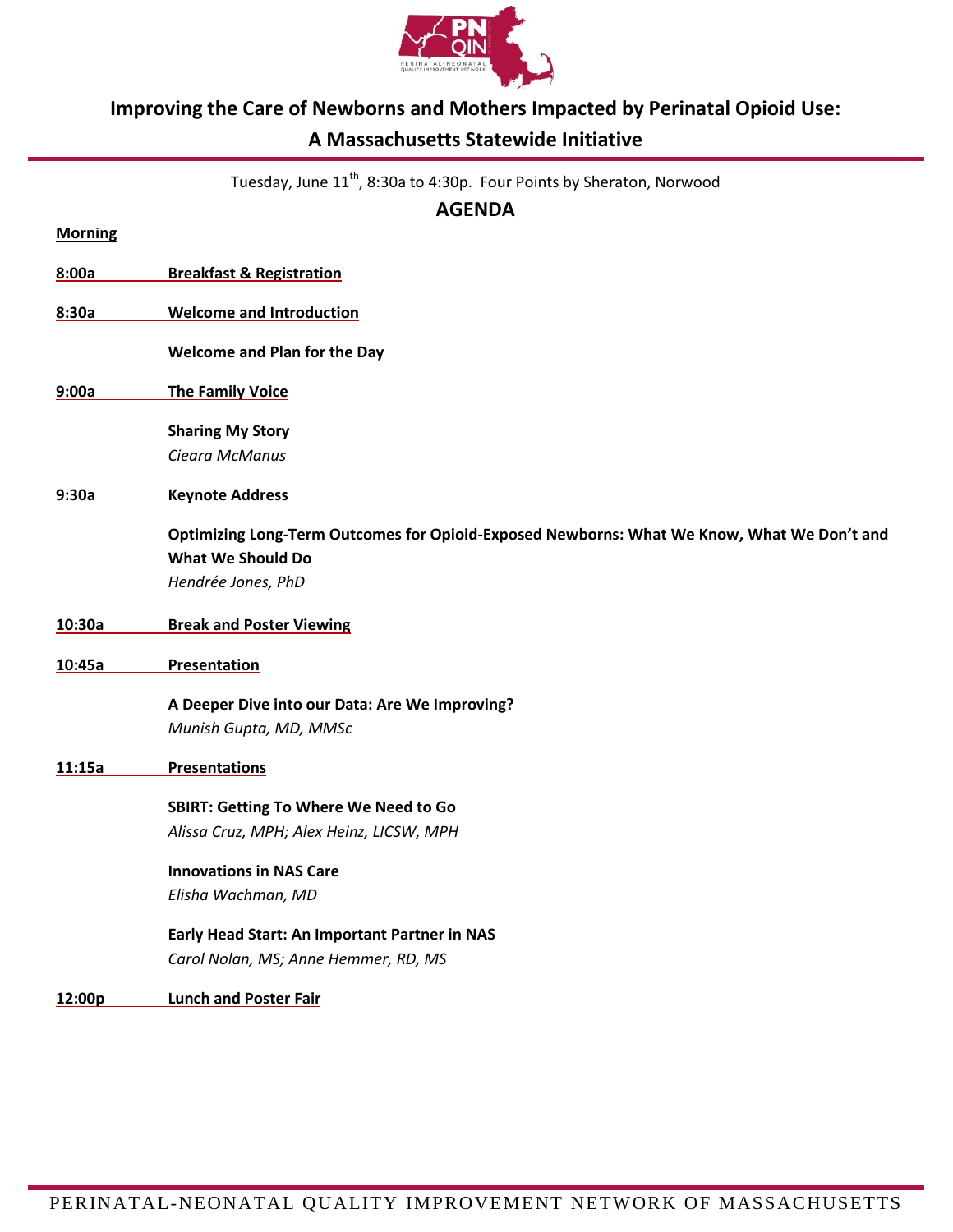

# **Improving the Care of Newborns and Mothers Impacted by Perinatal Opioid Use:**

# **A Massachusetts Statewide Initiative**

Tuesday, June 11<sup>th</sup>, 8:30a to 4:30p. Four Points by Sheraton, Norwood

**AGENDA**

| <b>Morning</b> |                                                                                            |
|----------------|--------------------------------------------------------------------------------------------|
| 8:00a          | <b>Breakfast &amp; Registration</b>                                                        |
| 8:30a          | <b>Welcome and Introduction</b>                                                            |
|                | Welcome and Plan for the Day                                                               |
| 9:00a          | <b>The Family Voice</b>                                                                    |
|                | <b>Sharing My Story</b>                                                                    |
|                | Cieara McManus                                                                             |
| 9:30a          | <b>Keynote Address</b>                                                                     |
|                | Optimizing Long-Term Outcomes for Opioid-Exposed Newborns: What We Know, What We Don't and |
|                | <b>What We Should Do</b>                                                                   |
|                | Hendrée Jones, PhD                                                                         |
| 10:30a         | <b>Break and Poster Viewing</b>                                                            |
| 10:45a         | <b>Presentation</b>                                                                        |
|                | A Deeper Dive into our Data: Are We Improving?                                             |
|                | Munish Gupta, MD, MMSc                                                                     |
| 11:15a         | <b>Presentations</b>                                                                       |
|                | <b>SBIRT: Getting To Where We Need to Go</b>                                               |
|                | Alissa Cruz, MPH; Alex Heinz, LICSW, MPH                                                   |
|                | <b>Innovations in NAS Care</b>                                                             |
|                | Elisha Wachman, MD                                                                         |
|                | Early Head Start: An Important Partner in NAS                                              |
|                | Carol Nolan, MS; Anne Hemmer, RD, MS                                                       |
| 12:00p         | <b>Lunch and Poster Fair</b>                                                               |